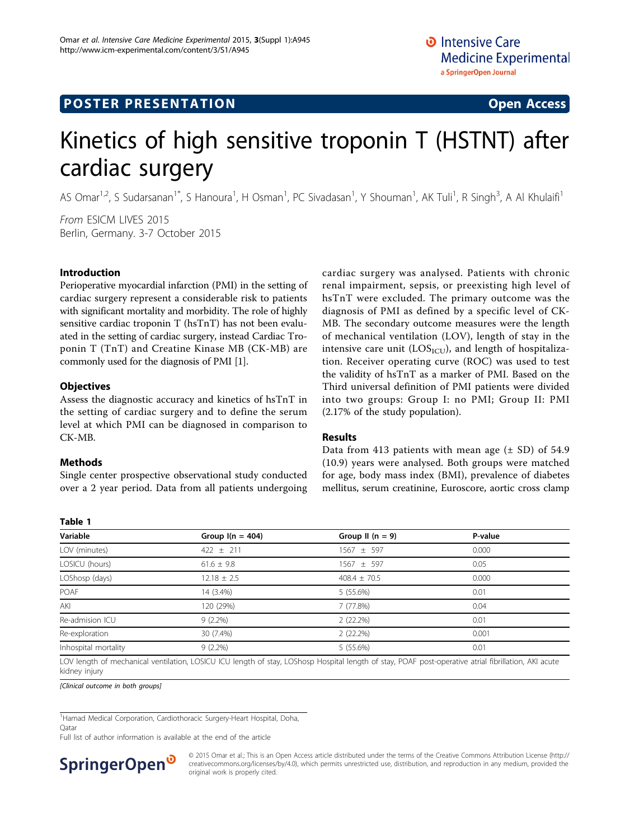# **POSTER PRESENTATION**

# Kinetics of high sensitive troponin T (HSTNT) after cardiac surgery

AS Omar<sup>1,2</sup>, S Sudarsanan<sup>1\*</sup>, S Hanoura<sup>1</sup>, H Osman<sup>1</sup>, PC Sivadasan<sup>1</sup>, Y Shouman<sup>1</sup>, AK Tuli<sup>1</sup>, R Singh<sup>3</sup>, A Al Khulaifi<sup>1</sup>

From ESICM LIVES 2015 Berlin, Germany. 3-7 October 2015

### Introduction

Perioperative myocardial infarction (PMI) in the setting of cardiac surgery represent a considerable risk to patients with significant mortality and morbidity. The role of highly sensitive cardiac troponin T (hsTnT) has not been evaluated in the setting of cardiac surgery, instead Cardiac Troponin T (TnT) and Creatine Kinase MB (CK-MB) are commonly used for the diagnosis of PMI [\[1\]](#page-1-0).

### **Objectives**

Assess the diagnostic accuracy and kinetics of hsTnT in the setting of cardiac surgery and to define the serum level at which PMI can be diagnosed in comparison to CK-MB.

# Methods

Table 1

Single center prospective observational study conducted over a 2 year period. Data from all patients undergoing cardiac surgery was analysed. Patients with chronic renal impairment, sepsis, or preexisting high level of hsTnT were excluded. The primary outcome was the diagnosis of PMI as defined by a specific level of CK-MB. The secondary outcome measures were the length of mechanical ventilation (LOV), length of stay in the intensive care unit ( $\text{LOS}_{\text{ICU}}$ ), and length of hospitalization. Receiver operating curve (ROC) was used to test the validity of hsTnT as a marker of PMI. Based on the Third universal definition of PMI patients were divided into two groups: Group I: no PMI; Group II: PMI (2.17% of the study population).

# Results

Data from 413 patients with mean age  $(\pm SD)$  of 54.9 (10.9) years were analysed. Both groups were matched for age, body mass index (BMI), prevalence of diabetes mellitus, serum creatinine, Euroscore, aortic cross clamp

| lavie i              |                    |                    |         |  |
|----------------------|--------------------|--------------------|---------|--|
| Variable             | Group $I(n = 404)$ | Group II $(n = 9)$ | P-value |  |
| LOV (minutes)        | $422 + 211$        | $1567 \pm 597$     | 0.000   |  |
| LOSICU (hours)       | $61.6 \pm 9.8$     | $1567 \pm 597$     | 0.05    |  |
| LOShosp (days)       | $12.18 \pm 2.5$    | $408.4 \pm 70.5$   | 0.000   |  |
| POAF                 | 14 (3.4%)          | $5(55.6\%)$        | 0.01    |  |
| AKI                  | 120 (29%)          | 7 (77.8%)          | 0.04    |  |
| Re-admision ICU      | $9(2.2\%)$         | 2(22.2%)           | 0.01    |  |
| Re-exploration       | 30 (7.4%)          | 2(22.2%)           | 0.001   |  |
| Inhospital mortality | $9(2.2\%)$         | $5(55.6\%)$        | 0.01    |  |

LOV length of mechanical ventilation, LOSICU ICU length of stay, LOShosp Hospital length of stay, POAF post-operative atrial fibrillation, AKI acute kidney injury

[Clinical outcome in both groups]

<sup>1</sup> Hamad Medical Corporation, Cardiothoracic Surgery-Heart Hospital, Doha,

**O**atar

Full list of author information is available at the end of the article



© 2015 Omar et al.; This is an Open Access article distributed under the terms of the Creative Commons Attribution License [\(http://](http://creativecommons.org/licenses/by/4.0) [creativecommons.org/licenses/by/4.0](http://creativecommons.org/licenses/by/4.0)), which permits unrestricted use, distribution, and reproduction in any medium, provided the original work is properly cited.